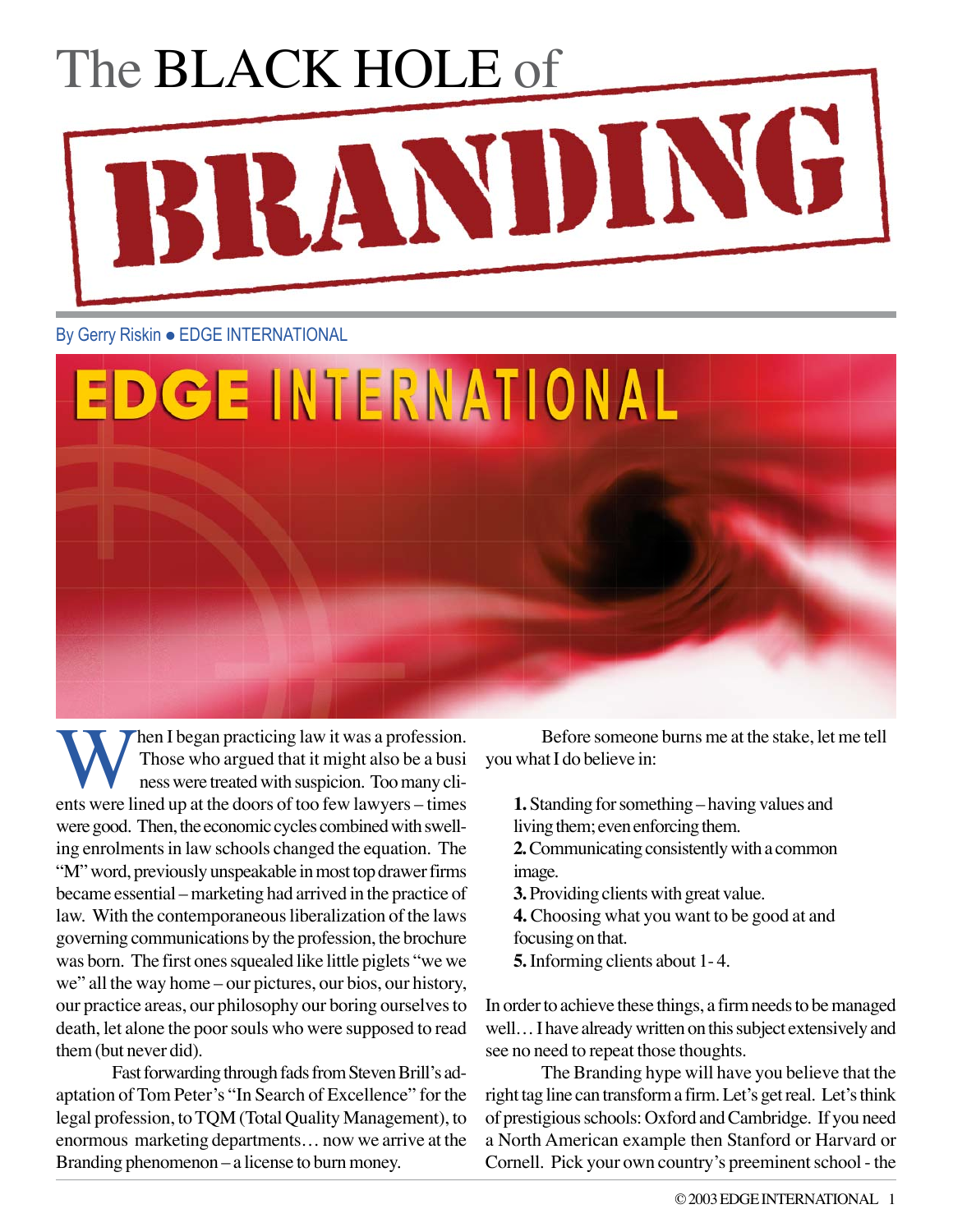## The BLACK HOLE of BRANDING

## By Gerry Riskin . EDGE INTERNATIONAL



When I began practicing law it was a profession.<br>Those who argued that it might also be a business were treated with suspicion. Too many clients were lined up at the doors of too few lawyers – times Those who argued that it might also be a busi nesswere treatedwith suspicion. Toomany clients were lined up at the doors of too few lawyers – times were good. Then, the economic cycles combined with swelling enrolments in law schools changed the equation. The "M" word, previously unspeakable in most top drawer firms became essential –marketing had arrived in the practice of law. With the contemporaneous liberalization of the laws governing communications by the profession, the brochure was born. The first ones squealed like little piglets "we we we" all the way home – our pictures, our bios, our history, our practice areas, our philosophy our boring ourselvesto death, let alone the poor souls who were supposed to read them(but never did).

Fast forwarding through fads from Steven Brill's adaptation of Tom Peter's "In Search of Excellence" for the legal profession, to TQM (Total Quality Management), to enormous marketing departments... now we arrive at the Branding phenomenon – a license to burn money.

Before someone burns me at the stake, let me tell you what I do believe in:

**1.** Standing for something – having values and living them; even enforcing them.

**2.** Communicating consistently with a common image.

**3.** Providing clients with great value.

**4.** Choosing what you want to be good at and focusing on that.

**5.**Informing clients about 1- 4.

In order to achieve these things, a firm needs to be managed well... I have already written on this subject extensively and see no need to repeat those thoughts.

The Branding hype will have you believe that the right tag line can transform a firm. Let's get real. Let's think of prestigious schools: Oxford and Cambridge. If you need a North American example then Stanford or Harvard or Cornell. Pick your own country's preeminent school - the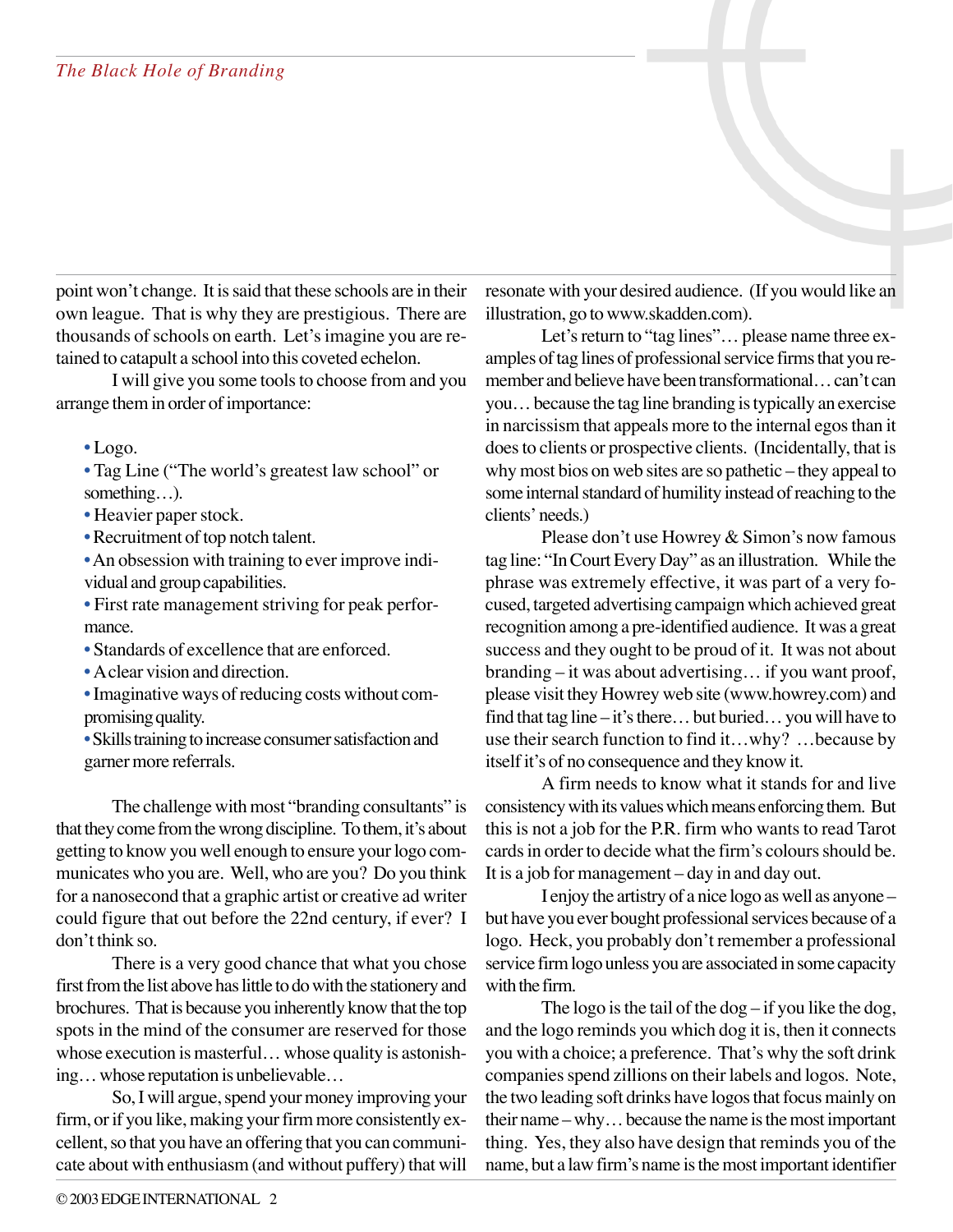point won't change. It issaid that these schools are in their own league. That is why they are prestigious. There are thousands of schools on earth. Let's imagine you are retained to catapult a school into this coveted echelon.

I will give you some tools to choose from and you arrange them in order of importance:

**•** Logo.

- **•** Tag Line ("The world's greatest law school" or something…).
- Heavier paper stock.
- Recruitment of top notch talent.
- An obsession with training to ever improve individual and group capabilities.
- **•** First rate management striving for peak performance.
- **•** Standards of excellence that are enforced.
- **•** Aclear vision and direction.
- Imaginative ways of reducing costs without compromising quality.
- Skills training to increase consumer satisfaction and garner more referrals.

The challenge with most "branding consultants" is that they come from the wrong discipline. To them, it's about getting to know you well enough to ensure yourlogo communicates who you are. Well, who are you? Do you think for a nanosecond that a graphic artist or creative ad writer could figure that out before the 22nd century, if ever? I don't think so.

There is a very good chance that what you chose first from the list above has little to do with the stationery and brochures. That is because you inherently know that the top spots in the mind of the consumer are reserved for those whose execution is masterful... whose quality is astonishing…whose reputation is unbelievable…

So, I will argue, spend your money improving your firm, or if you like, making your firm more consistently excellent, so that you have an offering that you can communicate about with enthusiasm (and without puffery) that will

resonate with your desired audience. (If you would like an illustration, go towww.skadden.com).

Let's return to "tag lines"... please name three examples of tag lines of professional service firms that you remember and believe have been transformational…can't can you…because the tag line branding istypically an exercise in narcissism that appeals more to the internal egosthan it does to clients or prospective clients. (Incidentally, that is why most bios on web sites are so pathetic – they appeal to some internal standard of humility instead of reaching to the clients' needs.)

Please don't use Howrey & Simon's now famous tag line: "InCourtEveryDay" as an illustration. While the phrase was extremely effective, it was part of a very focused, targeted advertising campaign which achieved great recognition among a pre-identified audience. It was a great success and they ought to be proud of it. It was not about branding – it was about advertising… if you want proof, please visit they Howrey web site (www.howrey.com) and find that tag line – it's there... but buried... you will have to use their search function to find it…why? …because by itself it's of no consequence and they know it.

A firm needs to know what it stands for and live consistency with its values which means enforcing them. But this is not a job for the P.R. firm who wants to read Tarot cards in order to decide what the firm's colours should be. It is a job for management – day in and day out.

I enjoy the artistry of a nice logo aswell as anyone – but have you ever bought professional services because of a logo. Heck, you probably don't remember a professional service firm logo unless you are associated in some capacity with the firm.

The logo is the tail of the dog  $-$  if you like the dog, and the logo reminds you which dog it is, then it connects you with a choice; a preference. That's why the soft drink companies spend zillions on their labels and logos. Note, the two leading soft drinks have logos that focus mainly on their name – why... because the name is the most important thing. Yes, they also have design that reminds you of the name, but a law firm's name is the most important identifier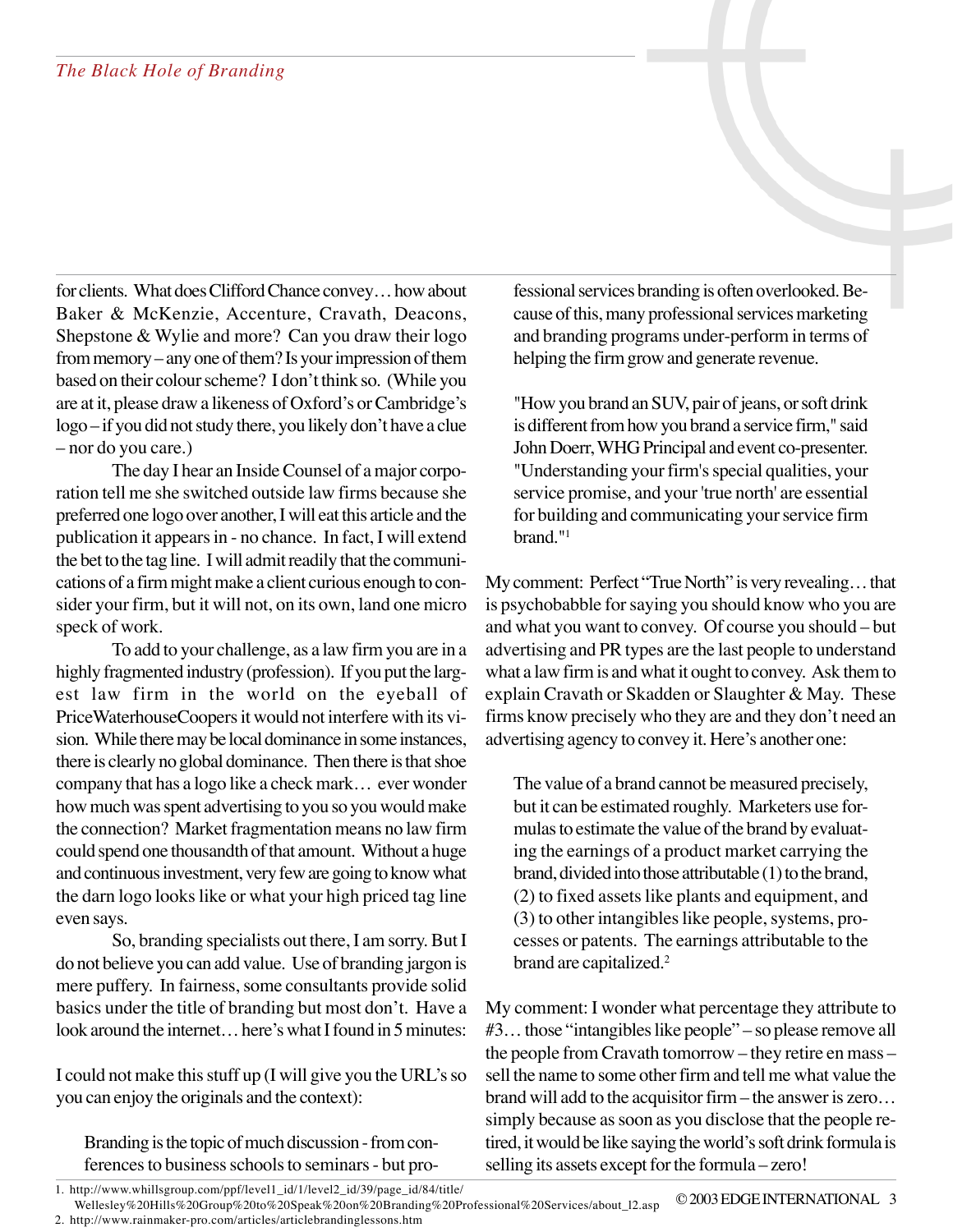for clients. What does Clifford Chance convey... how about Baker & McKenzie, Accenture, Cravath, Deacons, Shepstone & Wylie and more? Can you draw their logo from memory – any one of them? Is your impression of them based on their colourscheme? I don't think so. (While you are at it, please draw a likeness of Oxford's orCambridge's logo - if you did not study there, you likely don't have a clue – nor do you care.)

The day I hear an Inside Counsel of a major corporation tell me she switched outside law firms because she preferred one logo over another,Iwill eatthis article and the publication it appears in - no chance. In fact, I will extend the bet to the tag line. I will admit readily that the communications of a firm might make a client curious enough to consider your firm, but it will not, on its own, land one micro speck of work.

To add to your challenge, as a law firmyou are in a highly fragmented industry (profession). If you put the largest law firm in the world on the eyeball of PriceWaterhouseCoopers it would not interfere with its vision. While there may be local dominance in some instances, there is clearly no global dominance. Then there is that shoe company that has a logo like a check mark… ever wonder how much was spent advertising to you so you would make the connection? Market fragmentation means no law firm could spend one thousandth of that amount. Without a huge and continuous investment, very few are going to know what the darn logo looks like or what your high priced tag line even says.

So, branding specialists out there, I am sorry. But I do not believe you can add value. Use of branding jargon is mere puffery. In fairness, some consultants provide solid basics under the title of branding but most don't. Have a look around the internet... here's what I found in 5 minutes:

I could not make this stuff up (I will give you the URL's so you can enjoy the originals and the context):

Branding is the topic of much discussion - from conferences to business schools to seminars - but professional services branding is often overlooked. Because of this, many professional services marketing and branding programs under-perform in terms of helping the firm grow and generate revenue.

"How you brand an SUV, pair of jeans, or soft drink is different from how you brand a service firm," said John Doerr, WHG Principal and event co-presenter. "Understanding your firm's special qualities, your service promise, and your'true north' are essential for building and communicating your service firm brand."1

My comment: Perfect "True North" is very revealing... that is psychobabble for saying you should know who you are and what you want to convey. Of course you should – but advertising and PR types are the last people to understand what a law firm is and what it ought to convey. Ask them to explain Cravath or Skadden or Slaughter & May. These firms know precisely who they are and they don't need an advertising agency to convey it. Here's another one:

The value of a brand cannot be measured precisely, but it can be estimated roughly. Marketers use formulas to estimate the value of the brand by evaluating the earnings of a product market carrying the brand, divided into those attributable (1) to the brand, (2) to fixed assets like plants and equipment, and  $(3)$  to other intangibles like people, systems, processes or patents. The earnings attributable to the brand are capitalized. 2

My comment: I wonder what percentage they attribute to #3... those "intangibles like people" – so please remove all the people from Cravath tomorrow – they retire en mass – sell the name to some other firm and tell me what value the brand will add to the acquisitor firm – the answer is zero... simply because as soon as you disclose that the people retired, it would be like saying the world's soft drink formula is selling its assets except for the formula – zero!

<sup>1.</sup> http://www.whillsgroup.com/ppf/level1\_id/1/level2\_id/39/page\_id/84/title/

<sup>©2003</sup>EDGEINTERNATIONAL 3 Wellesley%20Hills%20Group%20to%20Speak%20on%20Branding%20Professional%20Services/about\_l2.asp

<sup>2.</sup> http://www.rainmaker-pro.com/articles/articlebrandinglessons.htm